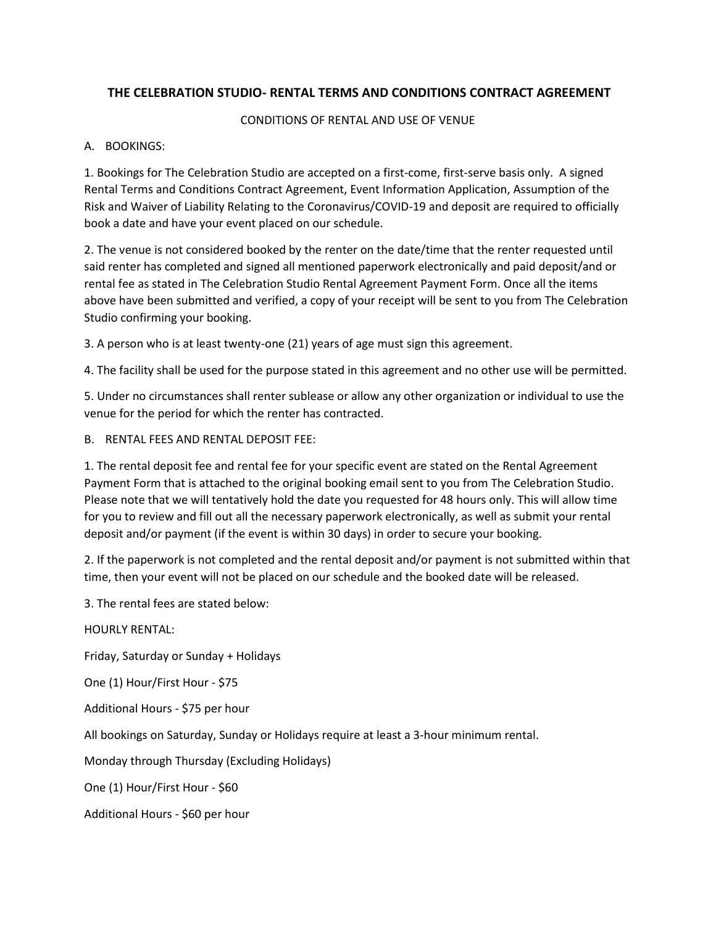# **THE CELEBRATION STUDIO- RENTAL TERMS AND CONDITIONS CONTRACT AGREEMENT**

### CONDITIONS OF RENTAL AND USE OF VENUE

### A. BOOKINGS:

1. Bookings for The Celebration Studio are accepted on a first-come, first-serve basis only. A signed Rental Terms and Conditions Contract Agreement, Event Information Application, Assumption of the Risk and Waiver of Liability Relating to the Coronavirus/COVID-19 and deposit are required to officially book a date and have your event placed on our schedule.

2. The venue is not considered booked by the renter on the date/time that the renter requested until said renter has completed and signed all mentioned paperwork electronically and paid deposit/and or rental fee as stated in The Celebration Studio Rental Agreement Payment Form. Once all the items above have been submitted and verified, a copy of your receipt will be sent to you from The Celebration Studio confirming your booking.

3. A person who is at least twenty-one (21) years of age must sign this agreement.

4. The facility shall be used for the purpose stated in this agreement and no other use will be permitted.

5. Under no circumstances shall renter sublease or allow any other organization or individual to use the venue for the period for which the renter has contracted.

B. RENTAL FEES AND RENTAL DEPOSIT FEE:

1. The rental deposit fee and rental fee for your specific event are stated on the Rental Agreement Payment Form that is attached to the original booking email sent to you from The Celebration Studio. Please note that we will tentatively hold the date you requested for 48 hours only. This will allow time for you to review and fill out all the necessary paperwork electronically, as well as submit your rental deposit and/or payment (if the event is within 30 days) in order to secure your booking.

2. If the paperwork is not completed and the rental deposit and/or payment is not submitted within that time, then your event will not be placed on our schedule and the booked date will be released.

3. The rental fees are stated below:

HOURLY RENTAL: Friday, Saturday or Sunday + Holidays One (1) Hour/First Hour - \$75 Additional Hours - \$75 per hour All bookings on Saturday, Sunday or Holidays require at least a 3-hour minimum rental. Monday through Thursday (Excluding Holidays) One (1) Hour/First Hour - \$60 Additional Hours - \$60 per hour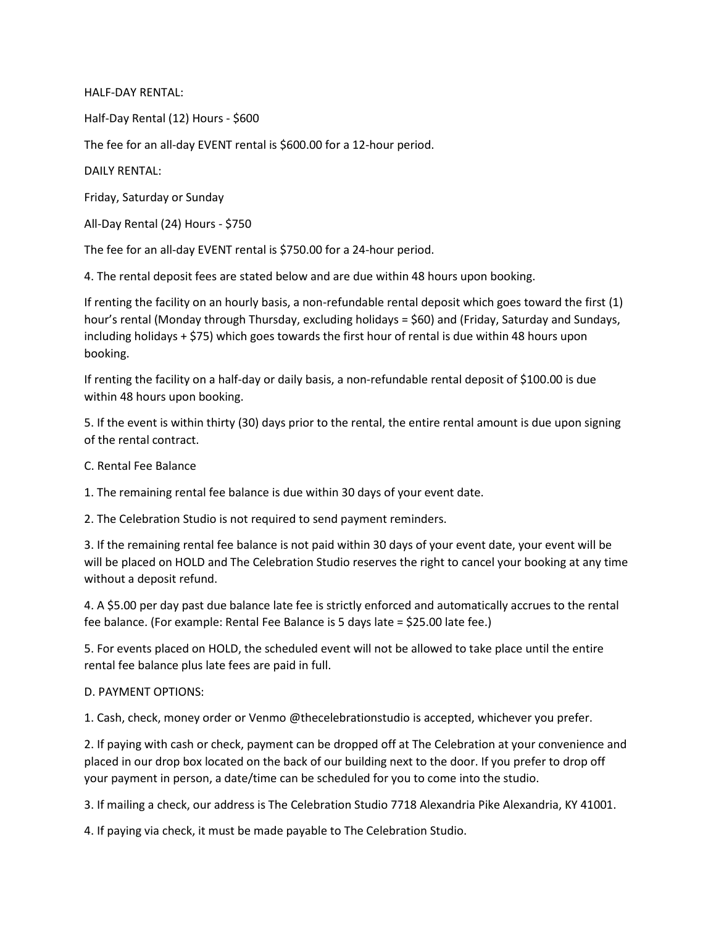HALF-DAY RENTAL:

Half-Day Rental (12) Hours - \$600

The fee for an all-day EVENT rental is \$600.00 for a 12-hour period.

DAILY RENTAL:

Friday, Saturday or Sunday

All-Day Rental (24) Hours - \$750

The fee for an all-day EVENT rental is \$750.00 for a 24-hour period.

4. The rental deposit fees are stated below and are due within 48 hours upon booking.

If renting the facility on an hourly basis, a non-refundable rental deposit which goes toward the first (1) hour's rental (Monday through Thursday, excluding holidays = \$60) and (Friday, Saturday and Sundays, including holidays + \$75) which goes towards the first hour of rental is due within 48 hours upon booking.

If renting the facility on a half-day or daily basis, a non-refundable rental deposit of \$100.00 is due within 48 hours upon booking.

5. If the event is within thirty (30) days prior to the rental, the entire rental amount is due upon signing of the rental contract.

C. Rental Fee Balance

1. The remaining rental fee balance is due within 30 days of your event date.

2. The Celebration Studio is not required to send payment reminders.

3. If the remaining rental fee balance is not paid within 30 days of your event date, your event will be will be placed on HOLD and The Celebration Studio reserves the right to cancel your booking at any time without a deposit refund.

4. A \$5.00 per day past due balance late fee is strictly enforced and automatically accrues to the rental fee balance. (For example: Rental Fee Balance is 5 days late = \$25.00 late fee.)

5. For events placed on HOLD, the scheduled event will not be allowed to take place until the entire rental fee balance plus late fees are paid in full.

#### D. PAYMENT OPTIONS:

1. Cash, check, money order or Venmo @thecelebrationstudio is accepted, whichever you prefer.

2. If paying with cash or check, payment can be dropped off at The Celebration at your convenience and placed in our drop box located on the back of our building next to the door. If you prefer to drop off your payment in person, a date/time can be scheduled for you to come into the studio.

3. If mailing a check, our address is The Celebration Studio 7718 Alexandria Pike Alexandria, KY 41001.

4. If paying via check, it must be made payable to The Celebration Studio.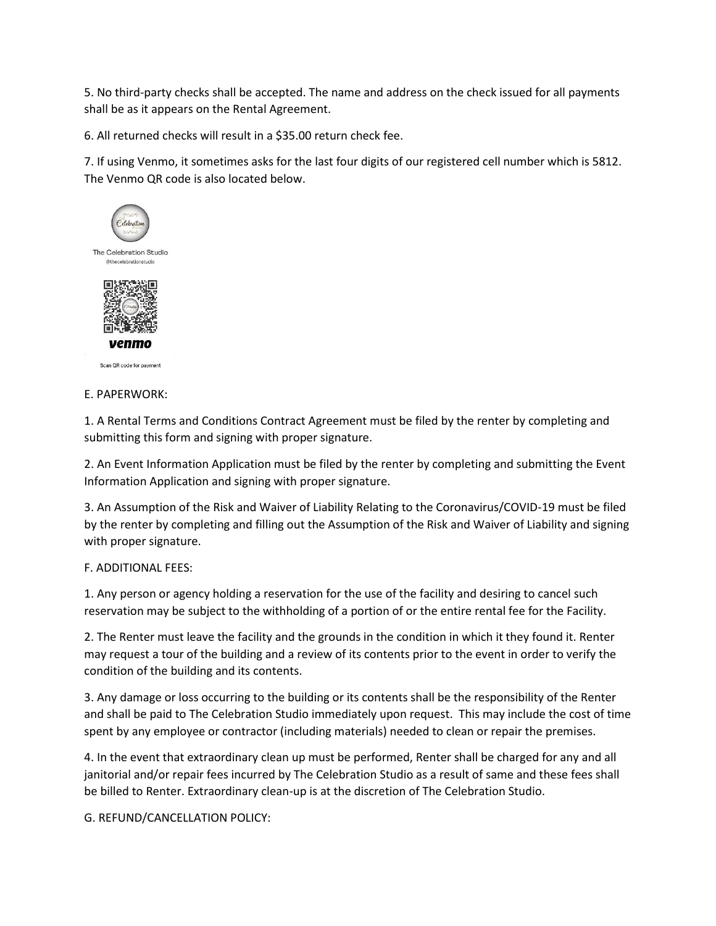5. No third-party checks shall be accepted. The name and address on the check issued for all payments shall be as it appears on the Rental Agreement.

6. All returned checks will result in a \$35.00 return check fee.

7. If using Venmo, it sometimes asks for the last four digits of our registered cell number which is 5812. The Venmo QR code is also located below.



Scan QR code for payment

E. PAPERWORK:

1. A Rental Terms and Conditions Contract Agreement must be filed by the renter by completing and submitting this form and signing with proper signature.

2. An Event Information Application must be filed by the renter by completing and submitting the Event Information Application and signing with proper signature.

3. An Assumption of the Risk and Waiver of Liability Relating to the Coronavirus/COVID-19 must be filed by the renter by completing and filling out the Assumption of the Risk and Waiver of Liability and signing with proper signature.

#### F. ADDITIONAL FEES:

1. Any person or agency holding a reservation for the use of the facility and desiring to cancel such reservation may be subject to the withholding of a portion of or the entire rental fee for the Facility.

2. The Renter must leave the facility and the grounds in the condition in which it they found it. Renter may request a tour of the building and a review of its contents prior to the event in order to verify the condition of the building and its contents.

3. Any damage or loss occurring to the building or its contents shall be the responsibility of the Renter and shall be paid to The Celebration Studio immediately upon request. This may include the cost of time spent by any employee or contractor (including materials) needed to clean or repair the premises.

4. In the event that extraordinary clean up must be performed, Renter shall be charged for any and all janitorial and/or repair fees incurred by The Celebration Studio as a result of same and these fees shall be billed to Renter. Extraordinary clean-up is at the discretion of The Celebration Studio.

G. REFUND/CANCELLATION POLICY: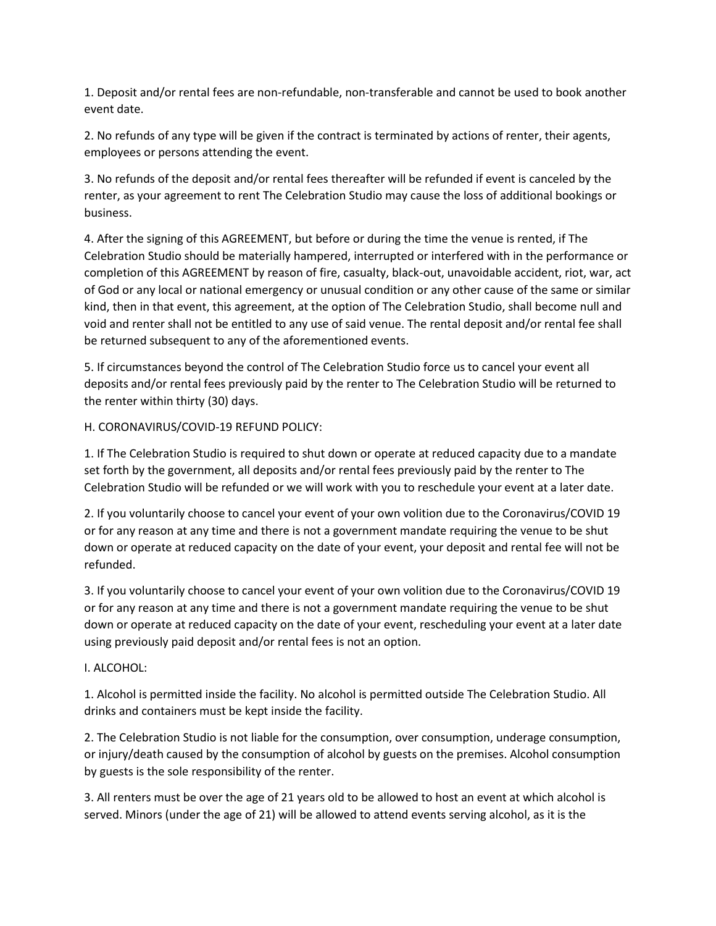1. Deposit and/or rental fees are non-refundable, non-transferable and cannot be used to book another event date.

2. No refunds of any type will be given if the contract is terminated by actions of renter, their agents, employees or persons attending the event.

3. No refunds of the deposit and/or rental fees thereafter will be refunded if event is canceled by the renter, as your agreement to rent The Celebration Studio may cause the loss of additional bookings or business.

4. After the signing of this AGREEMENT, but before or during the time the venue is rented, if The Celebration Studio should be materially hampered, interrupted or interfered with in the performance or completion of this AGREEMENT by reason of fire, casualty, black-out, unavoidable accident, riot, war, act of God or any local or national emergency or unusual condition or any other cause of the same or similar kind, then in that event, this agreement, at the option of The Celebration Studio, shall become null and void and renter shall not be entitled to any use of said venue. The rental deposit and/or rental fee shall be returned subsequent to any of the aforementioned events.

5. If circumstances beyond the control of The Celebration Studio force us to cancel your event all deposits and/or rental fees previously paid by the renter to The Celebration Studio will be returned to the renter within thirty (30) days.

## H. CORONAVIRUS/COVID-19 REFUND POLICY:

1. If The Celebration Studio is required to shut down or operate at reduced capacity due to a mandate set forth by the government, all deposits and/or rental fees previously paid by the renter to The Celebration Studio will be refunded or we will work with you to reschedule your event at a later date.

2. If you voluntarily choose to cancel your event of your own volition due to the Coronavirus/COVID 19 or for any reason at any time and there is not a government mandate requiring the venue to be shut down or operate at reduced capacity on the date of your event, your deposit and rental fee will not be refunded.

3. If you voluntarily choose to cancel your event of your own volition due to the Coronavirus/COVID 19 or for any reason at any time and there is not a government mandate requiring the venue to be shut down or operate at reduced capacity on the date of your event, rescheduling your event at a later date using previously paid deposit and/or rental fees is not an option.

## I. ALCOHOL:

1. Alcohol is permitted inside the facility. No alcohol is permitted outside The Celebration Studio. All drinks and containers must be kept inside the facility.

2. The Celebration Studio is not liable for the consumption, over consumption, underage consumption, or injury/death caused by the consumption of alcohol by guests on the premises. Alcohol consumption by guests is the sole responsibility of the renter.

3. All renters must be over the age of 21 years old to be allowed to host an event at which alcohol is served. Minors (under the age of 21) will be allowed to attend events serving alcohol, as it is the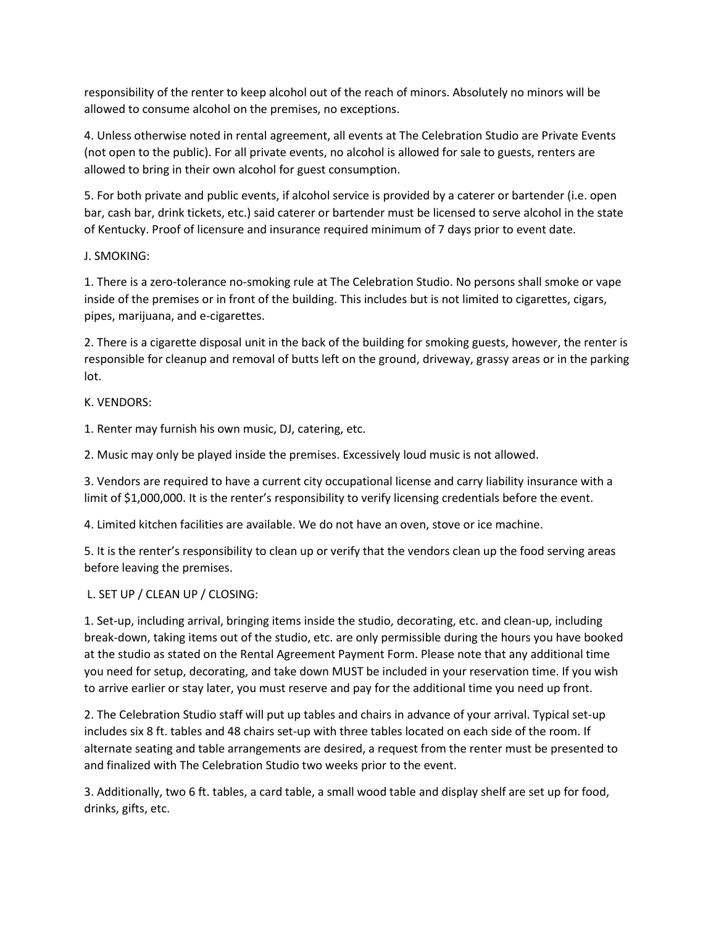responsibility of the renter to keep alcohol out of the reach of minors. Absolutely no minors will be allowed to consume alcohol on the premises, no exceptions.

4. Unless otherwise noted in rental agreement, all events at The Celebration Studio are Private Events (not open to the public). For all private events, no alcohol is allowed for sale to guests, renters are allowed to bring in their own alcohol for guest consumption.

5. For both private and public events, if alcohol service is provided by a caterer or bartender (i.e. open bar, cash bar, drink tickets, etc.) said caterer or bartender must be licensed to serve alcohol in the state of Kentucky. Proof of licensure and insurance required minimum of 7 days prior to event date.

J. SMOKING:

1. There is a zero-tolerance no-smoking rule at The Celebration Studio. No persons shall smoke or vape inside of the premises or in front of the building. This includes but is not limited to cigarettes, cigars, pipes, marijuana, and e-cigarettes.

2. There is a cigarette disposal unit in the back of the building for smoking guests, however, the renter is responsible for cleanup and removal of butts left on the ground, driveway, grassy areas or in the parking lot.

K. VENDORS:

1. Renter may furnish his own music, DJ, catering, etc.

2. Music may only be played inside the premises. Excessively loud music is not allowed.

3. Vendors are required to have a current city occupational license and carry liability insurance with a limit of \$1,000,000. It is the renter's responsibility to verify licensing credentials before the event.

4. Limited kitchen facilities are available. We do not have an oven, stove or ice machine.

5. It is the renter's responsibility to clean up or verify that the vendors clean up the food serving areas before leaving the premises.

L. SET UP / CLEAN UP / CLOSING:

1. Set-up, including arrival, bringing items inside the studio, decorating, etc. and clean-up, including break-down, taking items out of the studio, etc. are only permissible during the hours you have booked at the studio as stated on the Rental Agreement Payment Form. Please note that any additional time you need for setup, decorating, and take down MUST be included in your reservation time. If you wish to arrive earlier or stay later, you must reserve and pay for the additional time you need up front.

2. The Celebration Studio staff will put up tables and chairs in advance of your arrival. Typical set-up includes six 8 ft. tables and 48 chairs set-up with three tables located on each side of the room. If alternate seating and table arrangements are desired, a request from the renter must be presented to and finalized with The Celebration Studio two weeks prior to the event.

3. Additionally, two 6 ft. tables, a card table, a small wood table and display shelf are set up for food, drinks, gifts, etc.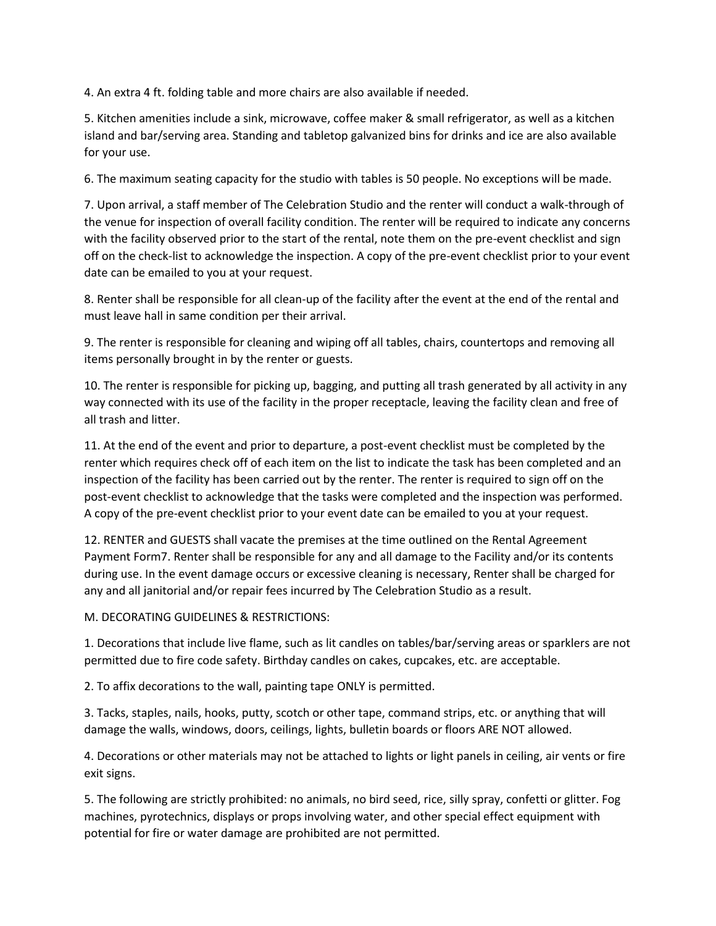4. An extra 4 ft. folding table and more chairs are also available if needed.

5. Kitchen amenities include a sink, microwave, coffee maker & small refrigerator, as well as a kitchen island and bar/serving area. Standing and tabletop galvanized bins for drinks and ice are also available for your use.

6. The maximum seating capacity for the studio with tables is 50 people. No exceptions will be made.

7. Upon arrival, a staff member of The Celebration Studio and the renter will conduct a walk-through of the venue for inspection of overall facility condition. The renter will be required to indicate any concerns with the facility observed prior to the start of the rental, note them on the pre-event checklist and sign off on the check-list to acknowledge the inspection. A copy of the pre-event checklist prior to your event date can be emailed to you at your request.

8. Renter shall be responsible for all clean-up of the facility after the event at the end of the rental and must leave hall in same condition per their arrival.

9. The renter is responsible for cleaning and wiping off all tables, chairs, countertops and removing all items personally brought in by the renter or guests.

10. The renter is responsible for picking up, bagging, and putting all trash generated by all activity in any way connected with its use of the facility in the proper receptacle, leaving the facility clean and free of all trash and litter.

11. At the end of the event and prior to departure, a post-event checklist must be completed by the renter which requires check off of each item on the list to indicate the task has been completed and an inspection of the facility has been carried out by the renter. The renter is required to sign off on the post-event checklist to acknowledge that the tasks were completed and the inspection was performed. A copy of the pre-event checklist prior to your event date can be emailed to you at your request.

12. RENTER and GUESTS shall vacate the premises at the time outlined on the Rental Agreement Payment Form7. Renter shall be responsible for any and all damage to the Facility and/or its contents during use. In the event damage occurs or excessive cleaning is necessary, Renter shall be charged for any and all janitorial and/or repair fees incurred by The Celebration Studio as a result.

M. DECORATING GUIDELINES & RESTRICTIONS:

1. Decorations that include live flame, such as lit candles on tables/bar/serving areas or sparklers are not permitted due to fire code safety. Birthday candles on cakes, cupcakes, etc. are acceptable.

2. To affix decorations to the wall, painting tape ONLY is permitted.

3. Tacks, staples, nails, hooks, putty, scotch or other tape, command strips, etc. or anything that will damage the walls, windows, doors, ceilings, lights, bulletin boards or floors ARE NOT allowed.

4. Decorations or other materials may not be attached to lights or light panels in ceiling, air vents or fire exit signs.

5. The following are strictly prohibited: no animals, no bird seed, rice, silly spray, confetti or glitter. Fog machines, pyrotechnics, displays or props involving water, and other special effect equipment with potential for fire or water damage are prohibited are not permitted.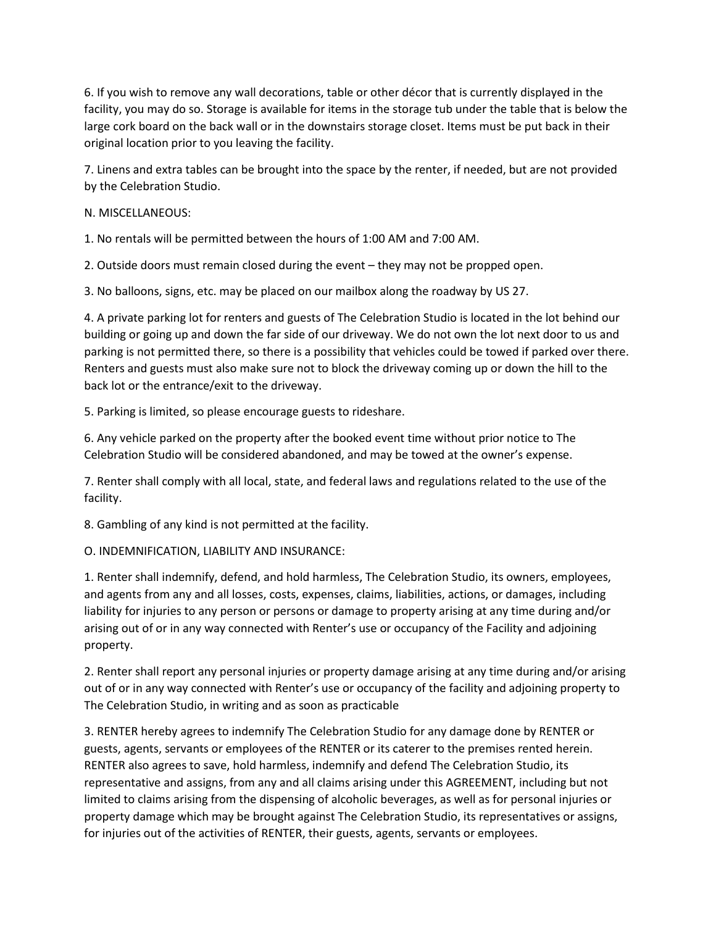6. If you wish to remove any wall decorations, table or other décor that is currently displayed in the facility, you may do so. Storage is available for items in the storage tub under the table that is below the large cork board on the back wall or in the downstairs storage closet. Items must be put back in their original location prior to you leaving the facility.

7. Linens and extra tables can be brought into the space by the renter, if needed, but are not provided by the Celebration Studio.

## N. MISCELLANEOUS:

1. No rentals will be permitted between the hours of 1:00 AM and 7:00 AM.

2. Outside doors must remain closed during the event – they may not be propped open.

3. No balloons, signs, etc. may be placed on our mailbox along the roadway by US 27.

4. A private parking lot for renters and guests of The Celebration Studio is located in the lot behind our building or going up and down the far side of our driveway. We do not own the lot next door to us and parking is not permitted there, so there is a possibility that vehicles could be towed if parked over there. Renters and guests must also make sure not to block the driveway coming up or down the hill to the back lot or the entrance/exit to the driveway.

5. Parking is limited, so please encourage guests to rideshare.

6. Any vehicle parked on the property after the booked event time without prior notice to The Celebration Studio will be considered abandoned, and may be towed at the owner's expense.

7. Renter shall comply with all local, state, and federal laws and regulations related to the use of the facility.

8. Gambling of any kind is not permitted at the facility.

O. INDEMNIFICATION, LIABILITY AND INSURANCE:

1. Renter shall indemnify, defend, and hold harmless, The Celebration Studio, its owners, employees, and agents from any and all losses, costs, expenses, claims, liabilities, actions, or damages, including liability for injuries to any person or persons or damage to property arising at any time during and/or arising out of or in any way connected with Renter's use or occupancy of the Facility and adjoining property.

2. Renter shall report any personal injuries or property damage arising at any time during and/or arising out of or in any way connected with Renter's use or occupancy of the facility and adjoining property to The Celebration Studio, in writing and as soon as practicable

3. RENTER hereby agrees to indemnify The Celebration Studio for any damage done by RENTER or guests, agents, servants or employees of the RENTER or its caterer to the premises rented herein. RENTER also agrees to save, hold harmless, indemnify and defend The Celebration Studio, its representative and assigns, from any and all claims arising under this AGREEMENT, including but not limited to claims arising from the dispensing of alcoholic beverages, as well as for personal injuries or property damage which may be brought against The Celebration Studio, its representatives or assigns, for injuries out of the activities of RENTER, their guests, agents, servants or employees.